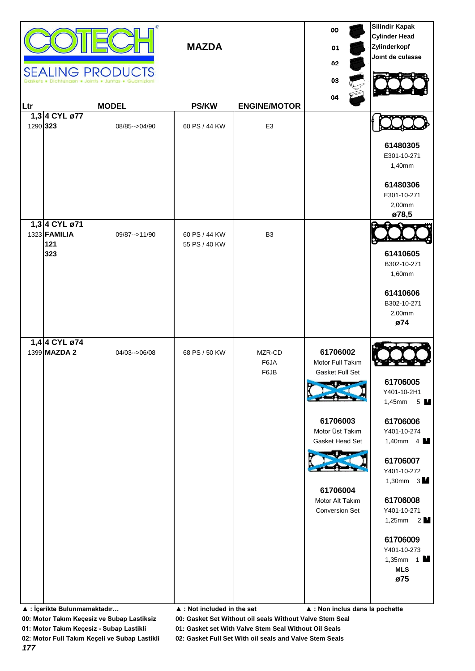|          |                                                    | <b>SEALING PRODUCTS</b> | <b>MAZDA</b>                               |                        | 00<br>01<br>02<br>03<br>04                      | <b>Silindir Kapak</b><br><b>Cylinder Head</b><br>Zylinderkopf<br>Joint de culasse |
|----------|----------------------------------------------------|-------------------------|--------------------------------------------|------------------------|-------------------------------------------------|-----------------------------------------------------------------------------------|
| Ltr      |                                                    | <b>MODEL</b>            | <b>PS/KW</b>                               | <b>ENGINE/MOTOR</b>    |                                                 |                                                                                   |
| 1290 323 | 1,3 4 CYL ø77                                      | 08/85 -- > 04/90        | 60 PS / 44 KW                              | E <sub>3</sub>         |                                                 |                                                                                   |
|          |                                                    |                         |                                            |                        |                                                 | 61480305<br>E301-10-271<br>1,40mm                                                 |
|          |                                                    |                         |                                            |                        |                                                 | 61480306<br>E301-10-271<br>2,00mm<br>ø78,5                                        |
|          | 1,3 4 CYL ø71<br>1323 <b>FAMILIA</b><br>121<br>323 | 09/87 -- > 11/90        | 60 PS / 44 KW<br>55 PS / 40 KW             | B <sub>3</sub>         |                                                 | 61410605                                                                          |
|          |                                                    |                         |                                            |                        |                                                 | B302-10-271<br>1,60mm                                                             |
|          |                                                    |                         |                                            |                        |                                                 | 61410606<br>B302-10-271                                                           |
|          |                                                    |                         |                                            |                        |                                                 | 2,00mm<br>ø74                                                                     |
|          | 1,4 4 CYL ø74                                      |                         |                                            |                        |                                                 |                                                                                   |
|          | 1399 MAZDA 2                                       | 04/03-->06/08           | 68 PS / 50 KW                              | MZR-CD<br>F6JA<br>F6JB | 61706002<br>Motor Full Takım<br>Gasket Full Set |                                                                                   |
|          |                                                    |                         |                                            |                        |                                                 | 61706005<br>Y401-10-2H1<br>1,45mm $5$ M                                           |
|          |                                                    |                         |                                            |                        | 61706003<br>Motor Üst Takım<br>Gasket Head Set  | 61706006<br>Y401-10-274<br>1,40mm $4 \text{ M}$                                   |
|          |                                                    |                         |                                            |                        |                                                 | 61706007<br>Y401-10-272<br>1,30mm $3\text{M}$                                     |
|          |                                                    |                         |                                            |                        | 61706004<br>Motor Alt Takım                     | 61706008                                                                          |
|          |                                                    |                         |                                            |                        | <b>Conversion Set</b>                           | Y401-10-271<br>1,25mm $2$ $\blacksquare$                                          |
|          |                                                    |                         |                                            |                        |                                                 | 61706009<br>Y401-10-273<br>1,35mm $1$ M<br><b>MLS</b>                             |
|          | ▲ : İçerikte Bulunmamaktadır                       |                         | $\blacktriangle$ : Not included in the set |                        | ▲ : Non inclus dans la pochette                 | ø75                                                                               |

**01: Motor Takım Keçesiz - Subap Lastikli 01: Gasket set With Valve Stem Seal Without Oil Seals**

**02: Motor Full Takım Keçeli ve Subap Lastikli 02: Gasket Full Set With oil seals and Valve Stem Seals**

*177*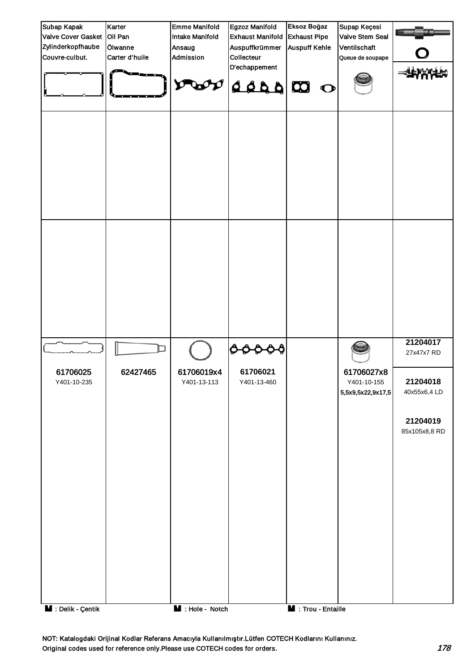

NOT: Katalogdaki Orijinal Kodlar Referans Amacıyla Kullanılmıştır.Lütfen COTECH Kodlarını Kullanınız. Original codes used for reference only.Please use COTECH codes for orders. The context of the codes for orders.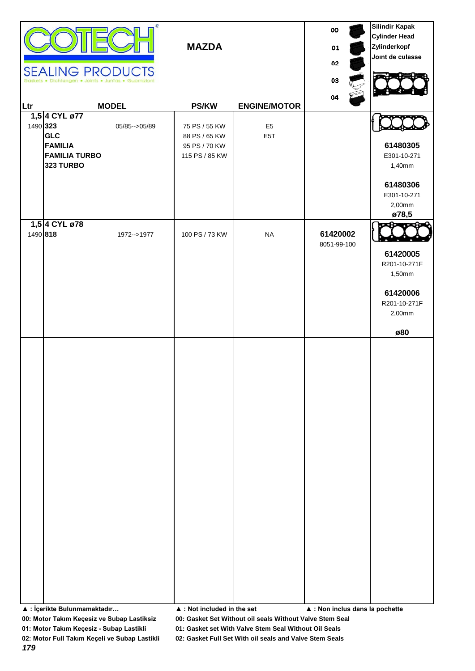|          | <b>SEALING PRODUCTS</b><br>Dichtungen . Joints . Juntas . Guarnizioni              | Œ                | <b>MAZDA</b>                                                      |                                    | 00<br>01<br>02<br>03<br>04      | <b>Silindir Kapak</b><br><b>Cylinder Head</b><br>Zylinderkopf<br>Joint de culasse |
|----------|------------------------------------------------------------------------------------|------------------|-------------------------------------------------------------------|------------------------------------|---------------------------------|-----------------------------------------------------------------------------------|
| Ltr      |                                                                                    | <b>MODEL</b>     | <b>PS/KW</b>                                                      | <b>ENGINE/MOTOR</b>                |                                 |                                                                                   |
| 1490 323 | 1,5 4 CYL ø77<br><b>GLC</b><br><b>FAMILIA</b><br><b>FAMILIA TURBO</b><br>323 TURBO | 05/85 -- > 05/89 | 75 PS / 55 KW<br>88 PS / 65 KW<br>95 PS / 70 KW<br>115 PS / 85 KW | E <sub>5</sub><br>E <sub>5</sub> T |                                 | 61480305<br>E301-10-271<br>1,40mm<br>61480306<br>E301-10-271<br>2,00mm<br>ø78,5   |
|          | 1,5 4 CYL ø78<br>1490 818                                                          | 1972-->1977      | 100 PS / 73 KW                                                    | <b>NA</b>                          | 61420002<br>8051-99-100         | 61420005<br>R201-10-271F<br>1,50mm<br>61420006<br>R201-10-271F<br>2,00mm<br>ø80   |
|          | ▲ : İçerikte Bulunmamaktadır                                                       |                  | $\blacktriangle$ : Not included in the set                        |                                    | ▲ : Non inclus dans la pochette |                                                                                   |

**01: Motor Takım Keçesiz - Subap Lastikli 01: Gasket set With Valve Stem Seal Without Oil Seals**

**02: Motor Full Takım Keçeli ve Subap Lastikli 02: Gasket Full Set With oil seals and Valve Stem Seals**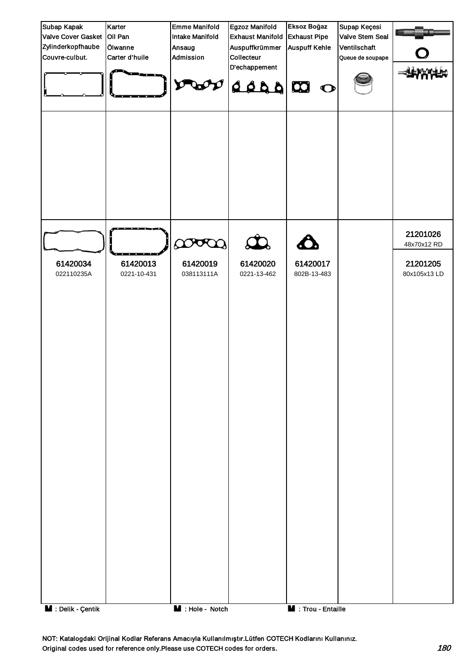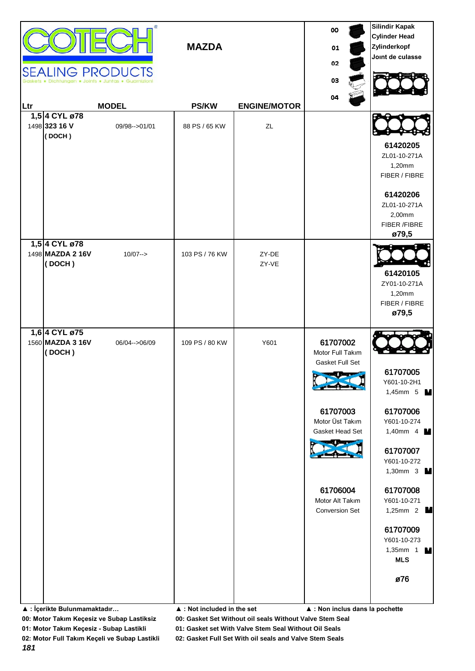|     |                                                                             | <b>SEALING PRODUCTS</b> | <b>MAZDA</b>                                                 |                     | 00<br>01<br>02<br>03                                                                                                                                                                                        | <b>Silindir Kapak</b><br><b>Cylinder Head</b><br>Zylinderkopf<br>Joint de culasse                                                                                                                                                                       |
|-----|-----------------------------------------------------------------------------|-------------------------|--------------------------------------------------------------|---------------------|-------------------------------------------------------------------------------------------------------------------------------------------------------------------------------------------------------------|---------------------------------------------------------------------------------------------------------------------------------------------------------------------------------------------------------------------------------------------------------|
| Ltr |                                                                             | <b>MODEL</b>            | <b>PS/KW</b>                                                 | <b>ENGINE/MOTOR</b> | 04                                                                                                                                                                                                          |                                                                                                                                                                                                                                                         |
|     | 1,5 4 CYL ø78<br>1498 323 16 V<br>(DOCH)                                    | 09/98 -- > 01/01        | 88 PS / 65 KW                                                | ZL                  |                                                                                                                                                                                                             | 61420205<br>ZL01-10-271A<br>1,20mm<br>FIBER / FIBRE<br>61420206<br>ZL01-10-271A<br>2,00mm                                                                                                                                                               |
|     |                                                                             |                         |                                                              |                     |                                                                                                                                                                                                             | FIBER /FIBRE<br>ø79,5                                                                                                                                                                                                                                   |
|     | 1,5 4 CYL ø78<br>1498 MAZDA 2 16V<br>(DOCH)                                 | $10/07 - >$             | 103 PS / 76 KW                                               | ZY-DE<br>ZY-VE      |                                                                                                                                                                                                             | 61420105<br>ZY01-10-271A<br>1,20mm<br>FIBER / FIBRE<br>ø79,5                                                                                                                                                                                            |
|     | 1,6 4 CYL ø75<br>1560 MAZDA 3 16V<br>(DOCH)<br>▲ : İçerikte Bulunmamaktadır | 06/04 -- > 06/09        | 109 PS / 80 KW<br>$\blacktriangle$ : Not included in the set | Y601                | 61707002<br>Motor Full Takım<br>Gasket Full Set<br>سيدال المسا<br>61707003<br>Motor Üst Takım<br>Gasket Head Set<br>61706004<br>Motor Alt Takım<br><b>Conversion Set</b><br>▲ : Non inclus dans la pochette | 61707005<br>Y601-10-2H1<br>1,45mm 5 $M$<br>61707006<br>Y601-10-274<br>1,40mm 4 <b>M</b><br>61707007<br>Y601-10-272<br>1,30mm 3 M<br>61707008<br>Y601-10-271<br>1,25mm 2 $\blacksquare$<br>61707009<br>Y601-10-273<br>1,35mm 1<br>м<br><b>MLS</b><br>ø76 |

**01: Motor Takım Keçesiz - Subap Lastikli 01: Gasket set With Valve Stem Seal Without Oil Seals**

**02: Motor Full Takım Keçeli ve Subap Lastikli 02: Gasket Full Set With oil seals and Valve Stem Seals**

*181*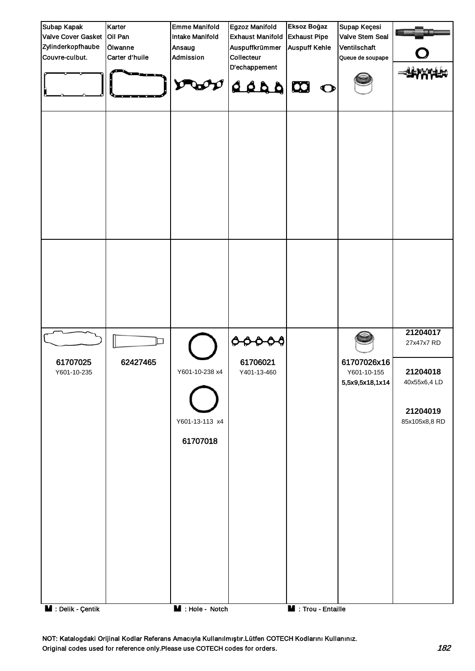

NOT: Katalogdaki Orijinal Kodlar Referans Amacıyla Kullanılmıştır.Lütfen COTECH Kodlarını Kullanınız. Original codes used for reference only.Please use COTECH codes for orders. 182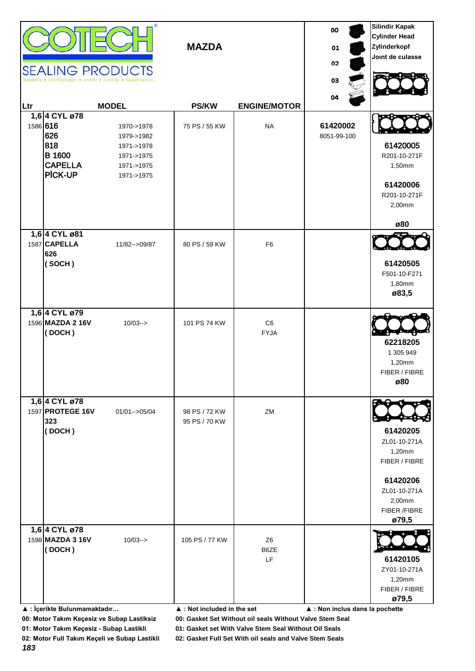|     |                                                                             | <b>SEALING PRODUCTS</b><br><b>MODEL</b>                                          | <b>MAZDA</b><br><b>PS/KW</b>                                 | <b>ENGINE/MOTOR</b>          | 00<br>01<br>02<br>03<br>04      | <b>Silindir Kapak</b><br><b>Cylinder Head</b><br>Zylinderkopf<br>Joint de culasse                                  |
|-----|-----------------------------------------------------------------------------|----------------------------------------------------------------------------------|--------------------------------------------------------------|------------------------------|---------------------------------|--------------------------------------------------------------------------------------------------------------------|
| Ltr | 1,6 4 CYL ø78                                                               |                                                                                  |                                                              |                              |                                 |                                                                                                                    |
|     | 1586 616<br>626<br>818<br><b>B</b> 1600<br><b>CAPELLA</b><br><b>PICK-UP</b> | 1970->1978<br>1979->1982<br>1971->1978<br>1971->1975<br>1971->1975<br>1971->1975 | 75 PS / 55 KW                                                | <b>NA</b>                    | 61420002<br>8051-99-100         | 61420005<br>R201-10-271F<br>1,50mm<br>61420006<br>R201-10-271F<br>2,00mm<br>ø80                                    |
|     | 1,6 4 CYL ø81                                                               |                                                                                  |                                                              |                              |                                 |                                                                                                                    |
|     | 1587 CAPELLA<br>626<br>(SOCH)                                               | 11/82-->09/87                                                                    | 80 PS / 59 KW                                                | F <sub>6</sub>               |                                 | 61420505<br>F501-10-F271<br>1,80mm<br>ø83,5                                                                        |
|     | 1,6 4 CYL ø79<br>1596 MAZDA 2 16V<br>(DOCH)                                 | $10/03 - >$                                                                      | 101 PS 74 KW                                                 | C6<br><b>FYJA</b>            |                                 | 62218205<br>1 305 949<br>1,20mm<br>FIBER / FIBRE<br>ø80                                                            |
|     | 1,6 4 CYL ø78<br>1597 PROTEGE 16V<br>323<br>(DOCH)                          | $01/01 - >05/04$                                                                 | 98 PS / 72 KW<br>95 PS / 70 KW                               | ZM                           |                                 | 61420205<br>ZL01-10-271A<br>1,20mm<br>FIBER / FIBRE<br>61420206<br>ZL01-10-271A<br>2,00mm<br>FIBER /FIBRE<br>ø79,5 |
|     | 1,6 4 CYL ø78                                                               |                                                                                  |                                                              |                              |                                 |                                                                                                                    |
|     | 1598 MAZDA 3 16V<br>(DOCH)<br>▲ : İçerikte Bulunmamaktadır                  | $10/03 - >$                                                                      | 105 PS / 77 KW<br>$\blacktriangle$ : Not included in the set | Z <sub>6</sub><br>B6ZE<br>LF | ▲ : Non inclus dans la pochette | 61420105<br>ZY01-10-271A<br>1,20mm<br>FIBER / FIBRE<br>ø79,5                                                       |

**01: Motor Takım Keçesiz - Subap Lastikli 01: Gasket set With Valve Stem Seal Without Oil Seals**

**02: Motor Full Takım Keçeli ve Subap Lastikli 02: Gasket Full Set With oil seals and Valve Stem Seals**

*183*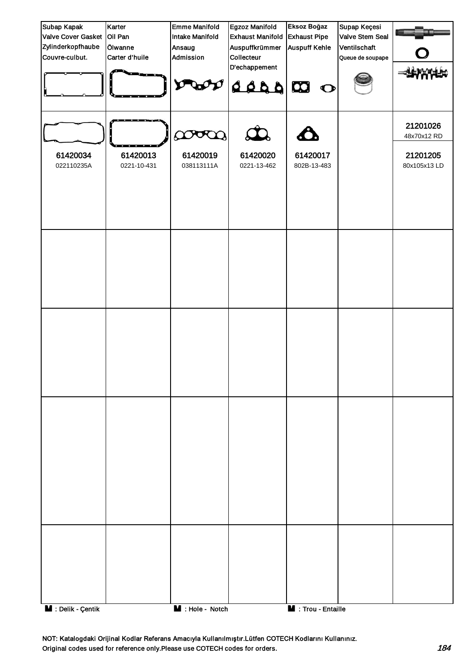| Subap Kapak                     | Karter                  | <b>Emme Manifold</b>   | Egzoz Manifold                | Eksoz Boğaz             | Supap Keçesi     |                          |
|---------------------------------|-------------------------|------------------------|-------------------------------|-------------------------|------------------|--------------------------|
| Valve Cover Gasket Oil Pan      |                         | <b>Intake Manifold</b> | <b>Exhaust Manifold</b>       | <b>Exhaust Pipe</b>     | Valve Stem Seal  |                          |
| Zylinderkopfhaube               | Ölwanne                 | Ansaug                 | Auspuffkrümmer                | <b>Auspuff Kehle</b>    | Ventilschaft     |                          |
| Couvre-culbut.                  | Carter d'huile          | Admission              | Collecteur                    |                         | Queue de soupape |                          |
|                                 |                         |                        | D'echappement<br><b>OBALA</b> | $\bullet$               |                  |                          |
|                                 |                         | poop                   | $\mathbf{\Omega}$             |                         |                  | 21201026<br>48x70x12 RD  |
| 61420034<br>022110235A          | 61420013<br>0221-10-431 | 61420019<br>038113111A | 61420020<br>0221-13-462       | 61420017<br>802B-13-483 |                  | 21201205<br>80x105x13 LD |
|                                 |                         |                        |                               |                         |                  |                          |
|                                 |                         |                        |                               |                         |                  |                          |
|                                 |                         |                        |                               |                         |                  |                          |
|                                 |                         |                        |                               |                         |                  |                          |
|                                 |                         |                        |                               |                         |                  |                          |
|                                 |                         |                        |                               |                         |                  |                          |
|                                 |                         |                        |                               |                         |                  |                          |
|                                 |                         |                        |                               |                         |                  |                          |
|                                 |                         |                        |                               |                         |                  |                          |
| $\blacksquare$ : Delik - Çentik |                         | M : Hole - Notch       |                               | M : Trou - Entaille     |                  |                          |

NOT: Katalogdaki Orijinal Kodlar Referans Amacıyla Kullanılmıştır.Lütfen COTECH Kodlarını Kullanınız. Original codes used for reference only.Please use COTECH codes for orders. 184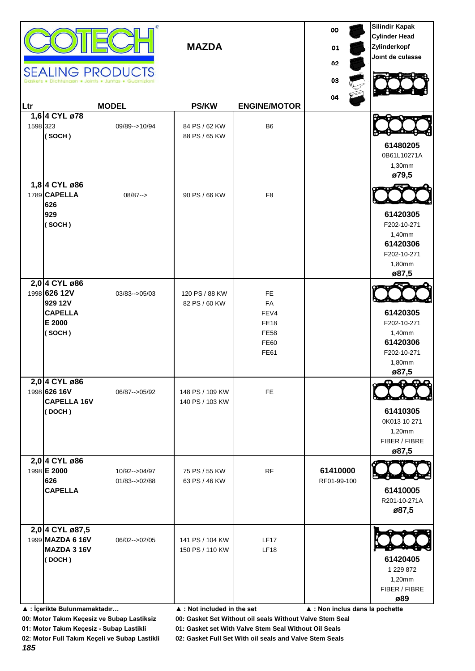|          |                                                                                              | <b>SEALING PRODUCTS</b>           | <b>MAZDA</b>                                                      |                                                                                     | 00<br>01<br>02<br>03            | <b>Silindir Kapak</b><br><b>Cylinder Head</b><br>Zylinderkopf<br>Joint de culasse |
|----------|----------------------------------------------------------------------------------------------|-----------------------------------|-------------------------------------------------------------------|-------------------------------------------------------------------------------------|---------------------------------|-----------------------------------------------------------------------------------|
| Ltr      |                                                                                              | <b>MODEL</b>                      | <b>PS/KW</b>                                                      | <b>ENGINE/MOTOR</b>                                                                 | 04                              |                                                                                   |
| 1598 323 | 1,6 4 CYL ø78<br>(SOCH)                                                                      | 09/89 -- > 10/94                  | 84 PS / 62 KW<br>88 PS / 65 KW                                    | B <sub>6</sub>                                                                      |                                 | 61480205<br>0B61L10271A<br>1,30mm<br>ø79,5                                        |
|          | 1,8 4 CYL ø86<br>1789 CAPELLA<br>626<br>929<br>(SOCH)                                        | $08/87--$                         | 90 PS / 66 KW                                                     | F <sub>8</sub>                                                                      |                                 | 61420305<br>F202-10-271<br>1,40mm<br>61420306<br>F202-10-271<br>1,80mm<br>ø87,5   |
|          | 2,0 4 CYL ø86<br>1998 626 12V<br>929 12V<br><b>CAPELLA</b><br>E 2000<br>(SOCH)               | 03/83 -- > 05/03                  | 120 PS / 88 KW<br>82 PS / 60 KW                                   | <b>FE</b><br>FA<br>FEV4<br><b>FE18</b><br><b>FE58</b><br><b>FE60</b><br><b>FE61</b> |                                 | 61420305<br>F202-10-271<br>1,40mm<br>61420306<br>F202-10-271<br>1,80mm<br>ø87,5   |
|          | 2,0 4 CYL ø86<br>1998 626 16V<br><b>CAPELLA 16V</b><br>(DOCH)                                | 06/87 -- > 05/92                  | 148 PS / 109 KW<br>140 PS / 103 KW                                | <b>FE</b>                                                                           |                                 | 61410305<br>0K013 10 271<br>1,20mm<br>FIBER / FIBRE<br>ø87,5                      |
|          | 2,0 4 CYL ø86<br>1998 E 2000<br>626<br><b>CAPELLA</b>                                        | 10/92-->04/97<br>01/83 -- > 02/88 | 75 PS / 55 KW<br>63 PS / 46 KW                                    | RF                                                                                  | 61410000<br>RF01-99-100         | 61410005<br>R201-10-271A<br>ø87,5                                                 |
|          | 2,0 4 CYL ø87,5<br>1999 MAZDA 6 16V<br>MAZDA 3 16V<br>(DOCH)<br>▲ : İçerikte Bulunmamaktadır | 06/02-->02/05                     | 141 PS / 104 KW<br>150 PS / 110 KW<br>▲ : Not included in the set | <b>LF17</b><br><b>LF18</b>                                                          | ▲ : Non inclus dans la pochette | 61420405<br>1 229 872<br>1,20mm<br>FIBER / FIBRE<br>ø89                           |

**01: Motor Takım Keçesiz - Subap Lastikli 01: Gasket set With Valve Stem Seal Without Oil Seals**

**02: Motor Full Takım Keçeli ve Subap Lastikli 02: Gasket Full Set With oil seals and Valve Stem Seals**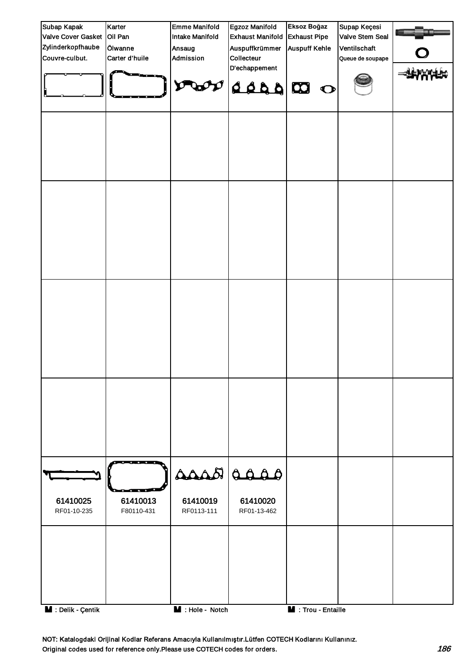

NOT: Katalogdaki Orijinal Kodlar Referans Amacıyla Kullanılmıştır.Lütfen COTECH Kodlarını Kullanınız. Original codes used for reference only.Please use COTECH codes for orders. 186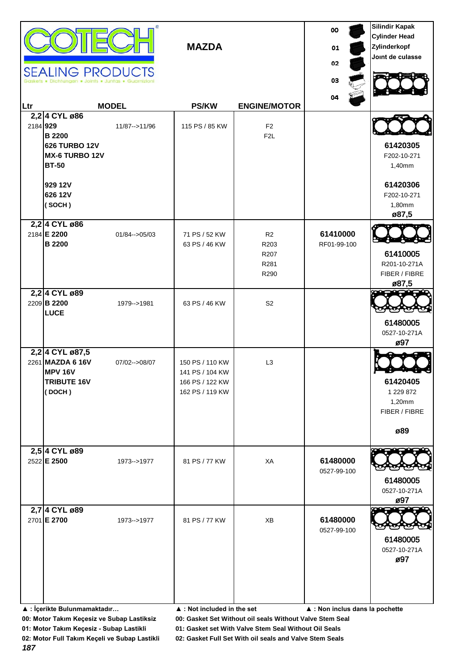|     | <b>SEALING PRODUCTS</b>                                                                                        |                   | <b>MAZDA</b>                                                             |                                    | 00<br>01<br>02<br>03            | <b>Silindir Kapak</b><br><b>Cylinder Head</b><br>Zylinderkopf<br>Joint de culasse |
|-----|----------------------------------------------------------------------------------------------------------------|-------------------|--------------------------------------------------------------------------|------------------------------------|---------------------------------|-----------------------------------------------------------------------------------|
| Ltr |                                                                                                                | <b>MODEL</b>      | <b>PS/KW</b>                                                             | <b>ENGINE/MOTOR</b>                | 04                              |                                                                                   |
|     | 2,2 4 CYL ø86<br>2184 929<br><b>B2200</b><br><b>626 TURBO 12V</b><br>MX-6 TURBO 12V<br><b>BT-50</b><br>929 12V | 11/87 -- > 11/96  | 115 PS / 85 KW                                                           | F <sub>2</sub><br>F <sub>2</sub> L |                                 | 61420305<br>F202-10-271<br>1,40mm<br>61420306                                     |
|     | 626 12V<br>(SOCH)                                                                                              |                   |                                                                          |                                    |                                 | F202-10-271<br>1,80mm<br>ø87,5                                                    |
|     | 2,2 4 CYL ø86<br>2184 E 2200<br><b>B</b> 2200                                                                  | $01/84 - > 05/03$ | 71 PS / 52 KW<br>63 PS / 46 KW                                           | R2<br>R203<br>R207<br>R281<br>R290 | 61410000<br>RF01-99-100         | 61410005<br>R201-10-271A<br>FIBER / FIBRE<br>ø87,5                                |
|     | 2,2 4 CYL ø89<br>2209 B 2200<br><b>LUCE</b>                                                                    | 1979-->1981       | 63 PS / 46 KW                                                            | S <sub>2</sub>                     |                                 | 61480005<br>0527-10-271A<br>ø97                                                   |
|     | 2,2 4 CYL ø87,5<br>2261 MAZDA 6 16V<br><b>MPV 16V</b><br><b>TRIBUTE 16V</b><br>(DOCH)                          | 07/02-->08/07     | 150 PS / 110 KW<br>141 PS / 104 KW<br>166 PS / 122 KW<br>162 PS / 119 KW | L <sub>3</sub>                     |                                 | 61420405<br>1 229 872<br>1,20mm<br>FIBER / FIBRE<br>ø89                           |
|     | 2,5 4 CYL ø89<br>2522 E 2500                                                                                   | 1973-->1977       | 81 PS / 77 KW                                                            | XA                                 | 61480000<br>0527-99-100         | 61480005<br>0527-10-271A<br>ø97                                                   |
|     | 2,7 4 CYL ø89<br>2701 E 2700                                                                                   | 1973-->1977       | 81 PS / 77 KW                                                            | XB                                 | 61480000<br>0527-99-100         | 61480005<br>0527-10-271A<br>ø97                                                   |
|     | ▲ : İçerikte Bulunmamaktadır                                                                                   |                   | $\blacktriangle$ : Not included in the set                               |                                    | ▲ : Non inclus dans la pochette |                                                                                   |

**01: Motor Takım Keçesiz - Subap Lastikli 01: Gasket set With Valve Stem Seal Without Oil Seals**

**02: Motor Full Takım Keçeli ve Subap Lastikli 02: Gasket Full Set With oil seals and Valve Stem Seals**